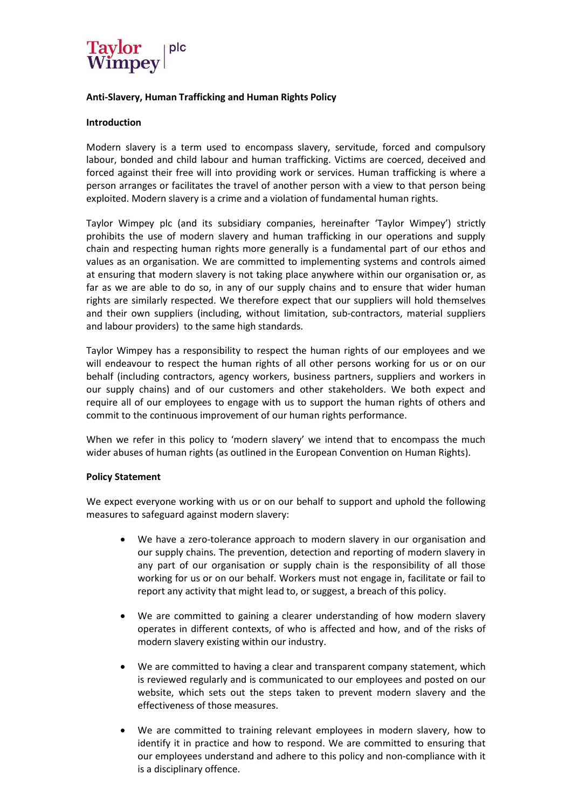

# **Anti-Slavery, Human Trafficking and Human Rights Policy**

## **Introduction**

Modern slavery is a term used to encompass slavery, servitude, forced and compulsory labour, bonded and child labour and human trafficking. Victims are coerced, deceived and forced against their free will into providing work or services. Human trafficking is where a person arranges or facilitates the travel of another person with a view to that person being exploited. Modern slavery is a crime and a violation of fundamental human rights.

Taylor Wimpey plc (and its subsidiary companies, hereinafter 'Taylor Wimpey') strictly prohibits the use of modern slavery and human trafficking in our operations and supply chain and respecting human rights more generally is a fundamental part of our ethos and values as an organisation. We are committed to implementing systems and controls aimed at ensuring that modern slavery is not taking place anywhere within our organisation or, as far as we are able to do so, in any of our supply chains and to ensure that wider human rights are similarly respected. We therefore expect that our suppliers will hold themselves and their own suppliers (including, without limitation, sub-contractors, material suppliers and labour providers) to the same high standards.

Taylor Wimpey has a responsibility to respect the human rights of our employees and we will endeavour to respect the human rights of all other persons working for us or on our behalf (including contractors, agency workers, business partners, suppliers and workers in our supply chains) and of our customers and other stakeholders. We both expect and require all of our employees to engage with us to support the human rights of others and commit to the continuous improvement of our human rights performance.

When we refer in this policy to 'modern slavery' we intend that to encompass the much wider abuses of human rights (as outlined in the European Convention on Human Rights).

#### **Policy Statement**

We expect everyone working with us or on our behalf to support and uphold the following measures to safeguard against modern slavery:

- We have a zero-tolerance approach to modern slavery in our organisation and our supply chains. The prevention, detection and reporting of modern slavery in any part of our organisation or supply chain is the responsibility of all those working for us or on our behalf. Workers must not engage in, facilitate or fail to report any activity that might lead to, or suggest, a breach of this policy.
- We are committed to gaining a clearer understanding of how modern slavery operates in different contexts, of who is affected and how, and of the risks of modern slavery existing within our industry.
- We are committed to having a clear and transparent company statement, which is reviewed regularly and is communicated to our employees and posted on our website, which sets out the steps taken to prevent modern slavery and the effectiveness of those measures.
- We are committed to training relevant employees in modern slavery, how to identify it in practice and how to respond. We are committed to ensuring that our employees understand and adhere to this policy and non-compliance with it is a disciplinary offence.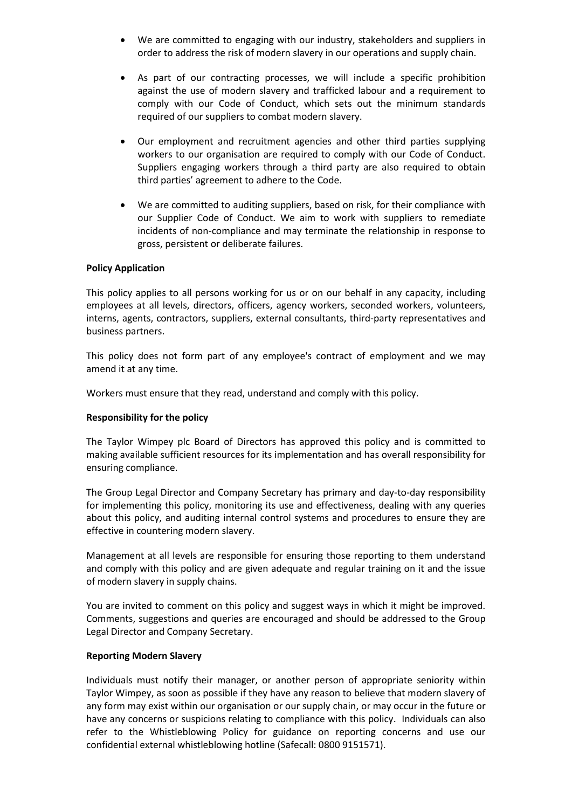- We are committed to engaging with our industry, stakeholders and suppliers in order to address the risk of modern slavery in our operations and supply chain.
- As part of our contracting processes, we will include a specific prohibition against the use of modern slavery and trafficked labour and a requirement to comply with our Code of Conduct, which sets out the minimum standards required of our suppliers to combat modern slavery.
- Our employment and recruitment agencies and other third parties supplying workers to our organisation are required to comply with our Code of Conduct. Suppliers engaging workers through a third party are also required to obtain third parties' agreement to adhere to the Code.
- We are committed to auditing suppliers, based on risk, for their compliance with our Supplier Code of Conduct. We aim to work with suppliers to remediate incidents of non-compliance and may terminate the relationship in response to gross, persistent or deliberate failures.

## **Policy Application**

This policy applies to all persons working for us or on our behalf in any capacity, including employees at all levels, directors, officers, agency workers, seconded workers, volunteers, interns, agents, contractors, suppliers, external consultants, third-party representatives and business partners.

This policy does not form part of any employee's contract of employment and we may amend it at any time.

Workers must ensure that they read, understand and comply with this policy.

## **Responsibility for the policy**

The Taylor Wimpey plc Board of Directors has approved this policy and is committed to making available sufficient resources for its implementation and has overall responsibility for ensuring compliance.

The Group Legal Director and Company Secretary has primary and day-to-day responsibility for implementing this policy, monitoring its use and effectiveness, dealing with any queries about this policy, and auditing internal control systems and procedures to ensure they are effective in countering modern slavery.

Management at all levels are responsible for ensuring those reporting to them understand and comply with this policy and are given adequate and regular training on it and the issue of modern slavery in supply chains.

You are invited to comment on this policy and suggest ways in which it might be improved. Comments, suggestions and queries are encouraged and should be addressed to the Group Legal Director and Company Secretary.

#### **Reporting Modern Slavery**

Individuals must notify their manager, or another person of appropriate seniority within Taylor Wimpey, as soon as possible if they have any reason to believe that modern slavery of any form may exist within our organisation or our supply chain, or may occur in the future or have any concerns or suspicions relating to compliance with this policy. Individuals can also refer to the Whistleblowing Policy for guidance on reporting concerns and use our confidential external whistleblowing hotline (Safecall: 0800 9151571).